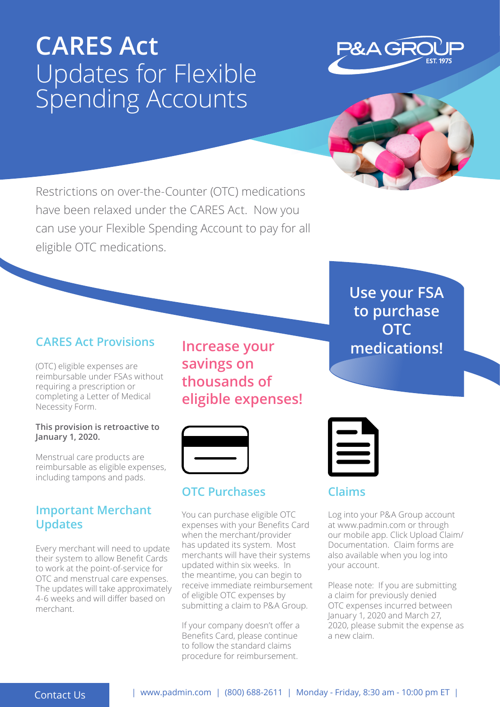# **CARES Act** Updates for Flexible Spending Accounts





Restrictions on over-the-Counter (OTC) medications have been relaxed under the CARES Act. Now you can use your Flexible Spending Account to pay for all eligible OTC medications.

# **CARES Act Provisions**

(OTC) eligible expenses are reimbursable under FSAs without requiring a prescription or completing a Letter of Medical Necessity Form.

### **This provision is retroactive to January 1, 2020.**

Menstrual care products are reimbursable as eligible expenses, including tampons and pads.

## **Important Merchant Updates**

Every merchant will need to update their system to allow Benefit Cards to work at the point-of-service for OTC and menstrual care expenses. The updates will take approximately 4-6 weeks and will differ based on merchant.

**Increase your savings on thousands of eligible expenses!** 



# **OTC Purchases**

You can purchase eligible OTC expenses with your Benefits Card when the merchant/provider has updated its system. Most merchants will have their systems updated within six weeks. In the meantime, you can begin to receive immediate reimbursement of eligible OTC expenses by submitting a claim to P&A Group.

If your company doesn't offer a Benefits Card, please continue to follow the standard claims procedure for reimbursement.

**Use your FSA to purchase OTC medications!** 



# **Claims**

Log into your P&A Group account at www.padmin.com or through our mobile app. Click Upload Claim/ Documentation. Claim forms are also available when you log into your account.

Please note: If you are submitting a claim for previously denied OTC expenses incurred between January 1, 2020 and March 27, 2020, please submit the expense as a new claim.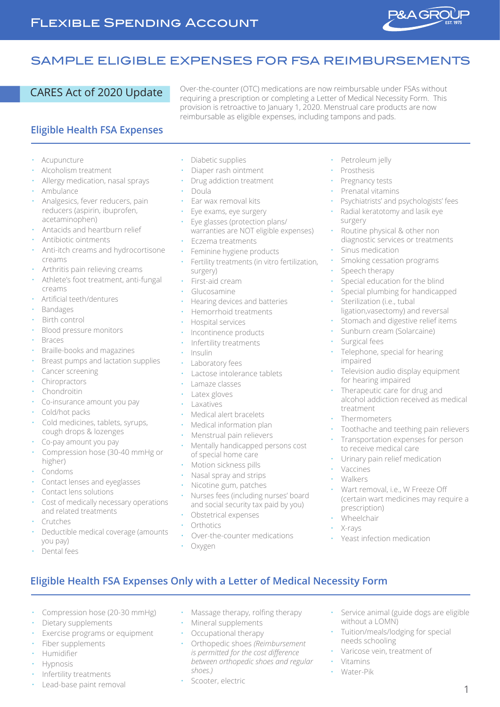

# SAMPLE ELIGIBLE EXPENSES FOR FSA REIMBURSEMENTS

CARES Act of 2020 Update Over-the-counter (OTC) medications are now reimbursable under FSAs without requiring a prescription or completing a Letter of Medical Necessity Form. This provision is retroactive to January 1, 2020. Menstrual care products are now reimbursable as eligible expenses, including tampons and pads.

### **Eligible Health FSA Expenses**

- **Acupuncture**
- Alcoholism treatment
- Allergy medication, nasal sprays
- Ambulance
- Analgesics, fever reducers, pain reducers (aspirin, ibuprofen, acetaminophen)
- Antacids and heartburn relief
- Antibiotic ointments
- Anti-itch creams and hydrocortisone creams
- Arthritis pain relieving creams
- Athlete's foot treatment, anti-fungal creams
- Artificial teeth/dentures
- Bandages
- Birth control
- Blood pressure monitors
- Braces
- Braille-books and magazines
- Breast pumps and lactation supplies
- Cancer screening
- **Chiropractors**
- Chondroitin
- Co-insurance amount you pay
- Cold/hot packs
- Cold medicines, tablets, syrups, cough drops & lozenges
- Co-pay amount you pay
- Compression hose (30-40 mmHg or higher)
- Condoms
- Contact lenses and eyeglasses
- Contact lens solutions
- Cost of medically necessary operations and related treatments
- Crutches
- Deductible medical coverage (amounts you pay)

• Compression hose (20-30 mmHg)

Exercise programs or equipment

• Dietary supplements

Fiber supplements

Infertility treatments Lead-base paint removal

• Humidifier **Hypnosis** 

• Dental fees

- Diabetic supplies
- Diaper rash ointment
- Drug addiction treatment
- Doula
- Ear wax removal kits
- Eye exams, eye surgery
- Eye glasses (protection plans/ warranties are NOT eligible expenses)
- Eczema treatments
- Feminine hygiene products
- Fertility treatments (in vitro fertilization, surgery)
- First-aid cream
- Glucosamine
- Hearing devices and batteries
- Hemorrhoid treatments
- Hospital services
- Incontinence products
- Infertility treatments
- Insulin
- Laboratory fees
- Lactose intolerance tablets
- Lamaze classes
- Latex gloves
- **Laxatives**
- Medical alert bracelets
- Medical information plan
- Menstrual pain relievers
- Mentally handicapped persons cost of special home care
- Motion sickness pills
- Nasal spray and strips
- Nicotine gum, patches
- Nurses fees (including nurses' board and social security tax paid by you)

• Massage therapy, rolfing therapy

• Orthopedic shoes *(Reimbursement is permitted for the cost difference between orthopedic shoes and regular* 

• Mineral supplements • Occupational therapy

- Obstetrical expenses
- **Orthotics**
- Over-the-counter medications
- Oxygen

**Eligible Health FSA Expenses Only with a Letter of Medical Necessity Form**

*shoes.)*

Scooter, electric

- Petroleum jelly
- Prosthesis
- Pregnancy tests
- Prenatal vitamins
- Psychiatrists' and psychologists' fees
- Radial keratotomy and lasik eye surgery
- Routine physical & other non diagnostic services or treatments
- Sinus medication
- Smoking cessation programs
- Speech therapy
- Special education for the blind
- Special plumbing for handicapped
- Sterilization (i.e., tubal ligation,vasectomy) and reversal
- Stomach and digestive relief items
- Sunburn cream (Solarcaine)
- Surgical fees
- Telephone, special for hearing impaired
- Television audio display equipment for hearing impaired
- Therapeutic care for drug and alcohol addiction received as medical treatment
- **Thermometers**
- Toothache and teething pain relievers
- Transportation expenses for person to receive medical care
- Urinary pain relief medication

• Yeast infection medication

without a LOMN)

needs schooling

• Vitamins • Water-Pik

- **Vaccines**
- Walkers
- Wart removal, i.e., W Freeze Off (certain wart medicines may require a prescription)

• Service animal (guide dogs are eligible

• Tuition/meals/lodging for special

• Varicose vein, treatment of

1

**Wheelchair** • X-rays